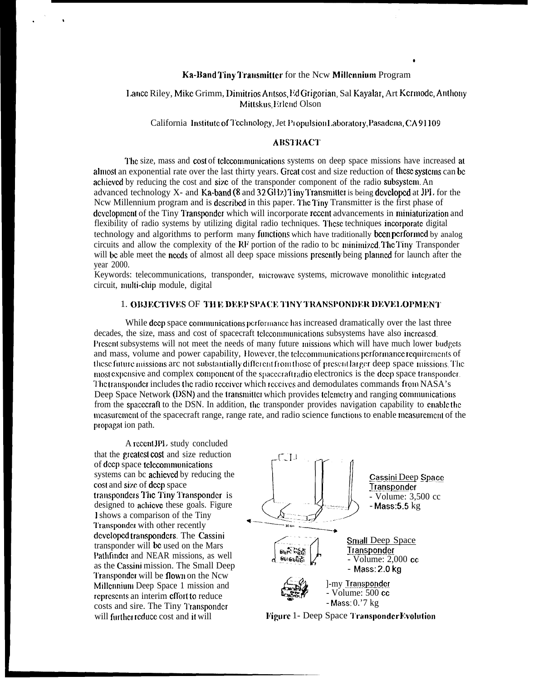# Ka-Band Tiny Transmitter for the New Millennium Program

# Lance Riley, Mike Grimm, Dimitrios Antsos, Ed Grigorian, Sal Kayalar, Art Kermode, Anthony Mittskus, Erlend Olson

California Institute of Technology, Jet Propulsion Laboratory, Pasadena, CA91109

## **ABSTRACT**

The size, mass and cost of telecommunications systems on deep space missions have increased at almost an exponential rate over the last thirty years. Great cost and size reduction of these systems can be achieved by reducing the cost and size of the transponder component of the radio subsystem. An advanced technology X- and Ka-band (8 and 32 GHz) Tiny Transmitter is being developed at JPL for the New Millennium program and is described in this paper. The Tiny Transmitter is the first phase of development of the Tiny Transponder which will incorporate recent advancements in miniaturization and flexibility of radio systems by utilizing digital radio techniques. These techniques incorporate digital technology and algorithms to perform many functions which have traditionally been performed by analog circuits and allow the complexity of the RF portion of the radio to bc minimized. The Tiny Transponder will be able meet the needs of almost all deep space missions presently being planned for launch after the vear 2000.

Keywords: telecommunications, transponder, microwave systems, microwave monolithic integrated circuit, multi-chip module, digital

#### 1. OBJECTIVES OF THE DEEP SPACE TINY TRANSPONDER DEVELOPMENT

While deep space communications performance has increased dramatically over the last three decades, the size, mass and cost of spacecraft telecommunications subsystems have also increased. Present subsystems will not meet the needs of many future missions which will have much lower budgets and mass, volume and power capability. However, the telecommunications performance requirements of these future missions are not substantially different from those of present larger deep space missions. The most expensive and complex component of the spacecraft radio electronics is the deep space transponder. The transponder includes the radio receiver which receives and demodulates commands from NASA's Deep Space Network (DSN) and the transmitter which provides telemetry and ranging communications from the spacecraft to the DSN. In addition, the transponder provides navigation capability to enable the measurement of the spacecraft range, range rate, and radio science functions to enable measurement of the propagat ion path.

A recent JPL study concluded that the greatest cost and size reduction of deep space telecommunications systems can be achieved by reducing the cost and size of deep space transponders The Tiny Transponder is designed to achieve these goals. Figure I shows a comparison of the Tiny Transponder with other recently developed transponders. The Cassini transponder will be used on the Mars Pathfinder and NEAR missions, as well as the Cassini mission. The Small Deep Transponder will be flown on the Ncw Millennium Deep Space 1 mission and represents an interim effort to reduce costs and sire. The Tiny Transponder will further reduce cost and it will



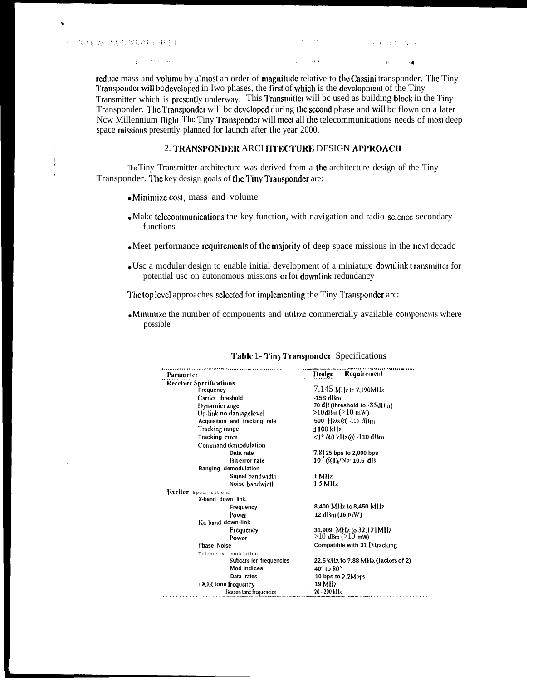,

I

reduce mass and volume by almost an order of magnitude relative to the Cassini transponder. The Tiny Transponder will be developed in Iwo phases, the first of which is the development of the Tiny Transmitter which is presently underway. This Transmitter will bc used as building block in the Tiny Transponder. The Transponder will be developed during the second phase and will be flown on a later Ncw Millennium flight. The Tiny Transponder will meet all the telecommunications needs of most deep space missions presently planned for launch after the year 2000.

# 2. TRANSPONDER ARCI IITECTURE DESIGN APPROACH

<sup>1</sup> The Tiny Transmitter architecture was derived from a **the** architecture design of the Tiny<br>
1 Transponder The key design goals of the Tiny Transponder are: Transponder. The key design goals of the Tiny Transponder are:

- Minimize cost, mass and volume
- $\bullet$  Make telecommunications the key function, with navigation and radio science secondary functions
- Meet performance requirements of the majority of deep space missions in the next dccadc
- Usc a modular design to enable initial development of a miniature downlink t ransmittcr for potential usc on autonomous missions or for dowrdink redundancy

The top level approaches selected for implementing the Tiny Transponder arc:

 $\bullet$  Minimize the number of components and utilize commercially available components where possible

| Parameter                      | Design Requirement                     |  |
|--------------------------------|----------------------------------------|--|
| <b>Receiver Specifications</b> |                                        |  |
| Frequency                      | 7,145 MHz to 7,190 MHz                 |  |
| Carrier threshold              | $-15S$ dBm                             |  |
| Dynamic range                  | 70 di (threshold to -85 dBm)           |  |
| Up-link no damage level        | $>10$ dBm ( $>10$ mW)                  |  |
| Acquisition and tracking rate  | 500 $Hz/s$ (a) -110 dBm                |  |
| Tracking range                 | $±100$ kHz                             |  |
| Tracking error                 | $\langle$ 1°/40 kHz@ -110 dBm          |  |
| Command demodulation           |                                        |  |
| Data rate                      | 7.8125 bps to 2,000 bps                |  |
| <b>Bit error rate</b>          | $10^{3}$ @ F <sub>b</sub> /No: 10.5 dB |  |
| Ranging demodulation           |                                        |  |
| Signal bandwidth               | t Milz                                 |  |
| Noise bandwidth                | 1.5 MHz                                |  |
| <b>Exciter</b> Specifications  |                                        |  |
| X-band down link.              |                                        |  |
| Frequency                      | 8,400 MHz to 8,450 MHz                 |  |
| Power                          | 12 dBm (16 mW)                         |  |
| Ka-band down-link              |                                        |  |
| Frequency                      | 31,909 MHz to 32,121 MHz               |  |
| Power                          | $>10$ dBm ( $>10$ mW)                  |  |
| f'base Noise                   | Compatible with 31 Lz tracking         |  |
| Telemetry modulation           |                                        |  |
| Subcart ier frequencies        | 22.5 kHz to 7.88 MHz (factors of 2)    |  |
| <b>Mod indices</b>             | $40^\circ$ to $80^\circ$               |  |
| Data rates                     | 10 bps to 2.2 Mbps                     |  |
| DOR tone frequency             | 19 MHz                                 |  |
| Beacon tone frequencies        | 20 - 200 kHz                           |  |

#### Table 1- Tiny Transponder Specifications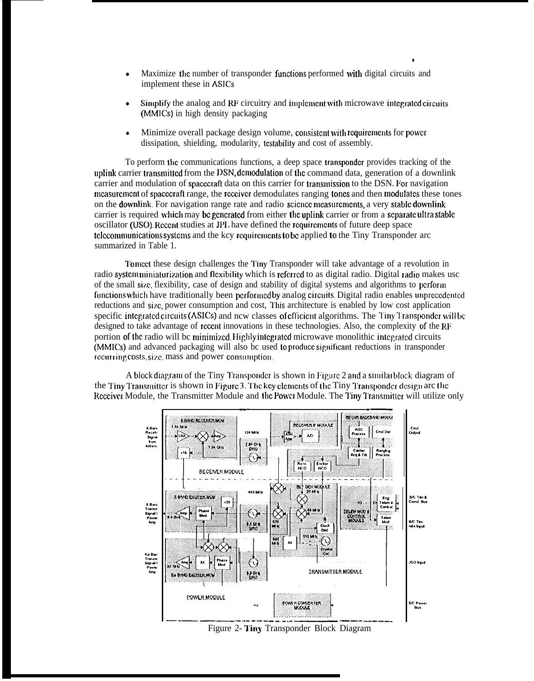- Maximize the number of transponder functions performed with digital circuits and implement these in ASICS
- Simplify the analog and RF circuitry and implement with microwave integrated circuits (MMICS) in high density packaging

●

• Minimize overall package design volume, consistent with requirements for power dissipation, shielding, modularity, testability and cost of assembly.

To perform the communications functions, a deep space transponder provides tracking of the uplink carrier transmitted from the DSN, demodulation of the command data, generation of a downlink carrier and modulation of spacecraft data on this carrier for transmission to the DSN. For navigation measurement of spacecraft range, the receiver demodulates ranging tones and then modulates these tones on the downlink. For navigation range rate and radio scicncc mcasurcrncnts, a very slablc dowrdink carrier is required which may be generated from either the uplink carrier or from a separate ultra stable oscillator (USO). Rcccrd studies at JPI. have defined the rcquircmcnts of future deep space telecommunications systems and the kcy requirements to be applied to the Tiny Transponder arc summarized in Table 1.

I'o **Iricct** these design challenges the ?'iny Transponder will take advantage of a revolution in radio system miniaturization and flexibility which is referred to as digital radio. Digital radio makes usc of the small siz.c, flexibility, case of design and stability of digital systems and algorithms to pcrforin functions which have traditionally been performed by analog circuits. Digital radio enables unprecedented reductions and size, power consumption and cost, This architecture is enabled by low cost application specific integrated circuits (ASICs) and ncw classes of efficient algorithms. The Tiny Transponder will be designed to take advantage of rcccnt innovations in these technologies. Also, the complexity of the RF portion of the radio will be minimized. Highly integrated microwave monolithic integrated circuits  $(MMICS)$  and advanced packaging will also bc used to produce significant reductions in transponder iccurring costs, size, mass and power consumption.

A block diagram of the Tiny Transponder is shown in Figure 2 and a similar block diagram of the Tiny Transmitter is shown in Figure 3. The key clements of the Tiny Transponder design arc the Reccive: Module, the Transmitter Module and the Power Module. The Tiny Transmitter will utilize only

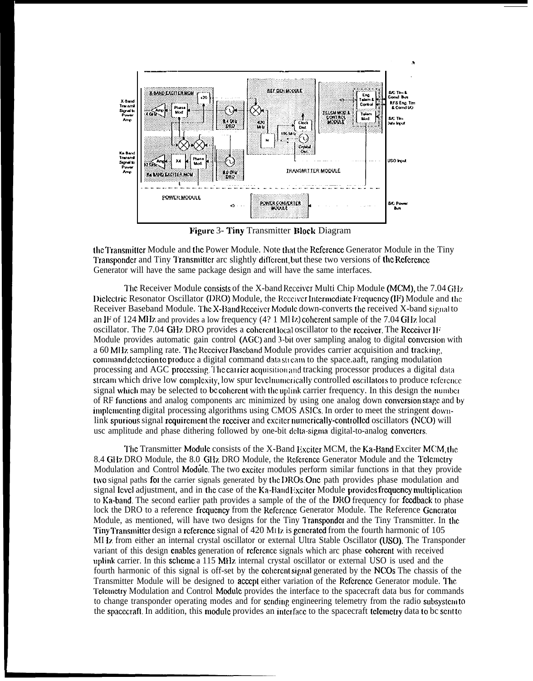

**Figure 3- Tiny Transmitter Block Diagram** 

the Transmitter Module and the Power Module. Note that the Reference Generator Module in the Tiny Transponder and Tiny Transmitter are slightly different, but these two versions of the Reference Generator will have the same package design and will have the same interfaces.

The Receiver Module consists of the X-band Receiver Multi Chip Module (MCM), the 7.04 GHz Dielectric Resonator Oscillator (DRO) Module, the Receiver Intermediate Frequency  $(H<sup>2</sup>)$  Module and the Receiver Baseband Module. The X-Band Receiver Module down-converts the received X-band signal to an IF of 124 MHz and provides a low frequency  $(4? 1 \text{ MI } \alpha)$  coherent sample of the 7.04 GHz local oscillator. The 7.04 GHz DRO provides a coherent local oscillator to the receiver. The Receiver IF Module provides automatic gain control (AGC) and 3-bit over sampling analog to digital conversion with a 60 MHz sampling rate. The Receiver Baseband Module provides carrier acquisition and tracking, command detection to produce a digital command data stream to the space.aaft, ranging modulation processing and AGC processing. The carrier acquisition and tracking processor produces a digital data stream which drive low complexity, low spur level numerically controlled oscillators to produce reference signal which may be selected to be coherent with the uplink carrier frequency. In this design the number of RF functions and analog components arc minimized by using one analog down conversion stage and by implementing digital processing algorithms using CMOS ASICs. In order to meet the stringent downlink spurious signal requirement the receiver and exciter numerically-controlled oscillators (NCO) will usc amplitude and phase dithering followed by one-bit delta-sigma digital-to-analog converters.

The Transmitter Module consists of the X-Band Exciter MCM, the Ka-Band Exciter MCM, the 8.4 GHz DRO Module, the 8.0 GHz DRO Module, the Reference Generator Module and the Telemetry Modulation and Control Module. The two exciter modules perform similar functions in that they provide two signal paths for the carrier signals generated by the DROs. One path provides phase modulation and signal level adjustment, and in the case of the Ka-Band Exciter Module provides frequency multiplication to Ka-band. The second earlier path provides a sample of the of the DRO frequency for feedback to phase lock the DRO to a reference frequency from the Reference Generator Module. The Reference Generator Module, as mentioned, will have two designs for the Tiny Transponder and the Tiny Transmitter. In the Tiny Transmitter design a reference signal of 420 M<sub>1</sub>l<sub>z</sub> is generated from the fourth harmonic of 105 MI Iz from either an internal crystal oscillator or external Ultra Stable Oscillator (USO). The Transponder variant of this design enables generation of reference signals which are phase coherent with received uplink carrier. In this scheme a 115 MHz internal crystal oscillator or external USO is used and the fourth harmonic of this signal is off-set by the coherent signal generated by the NCOs The chassis of the Transmitter Module will be designed to accept either variation of the Reference Generator module. The Telemetry Modulation and Control Module provides the interface to the spacecraft data bus for commands to change transponder operating modes and for sending engineering telemetry from the radio subsystem to the spacecraft. In addition, this module provides an interface to the spacecraft telemetry data to be sent to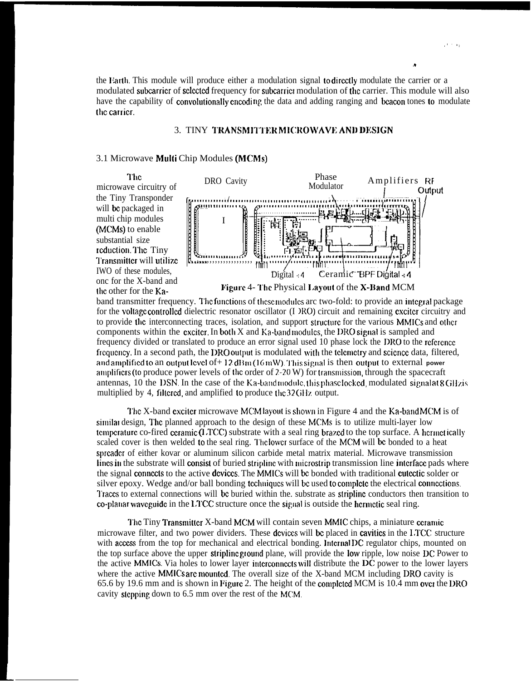the Earth. This module will produce either a modulation signal to directly modulate the carrier or a modulated subcarrier of selected frequency for subcarrier modulation of the carrier. This module will also have the capability of convolutionally encoding the data and adding ranging and beacon tones to modulate the carrier.

## 3. TINY TRANSMITTER MICROWAVE AND DESIGN

### 3.1 Microwave Multi Chip Modules (MCMs)

The microwave circuitry of the Tiny Transponder will be packaged in multi chip modules (MCMs) to enable substantial size reduction. The Tiny Transmitter will utilize IWO of these modules. onc for the X-band and the other for the Ka-



band transmitter frequency. The functions of these modules are two-fold: to provide an integral package for the voltage controlled dielectric resonator oscillator (I JRO) circuit and remaining exciter circuitry and to provide the interconnecting traces, isolation, and support structure for the various MMICs and other components within the exciter. In both X and Ka-band modules, the DRO signal is sampled and frequency divided or translated to produce an error signal used 10 phase lock the DRO to the reference frequency. In a second path, the DRO output is modulated with the telemetry and science data, filtered, and amplified to an output level of + 12 dBm (16 mW). This signal is then output to external power amplifiers (to produce power levels of the order of 2-20 W) for transmission, through the spacecraft antennas, 10 the DSN. In the case of the Ka-band module, this phase locked, modulated signal at 8 GHz is multiplied by 4, filtered, and amplified to produce the 32 GHz output.

The X-band exciter microwave MCM layout is shown in Figure 4 and the Ka-band MCM is of similar design. The planned approach to the design of these MCMs is to utilize multi-layer low temperature co-fired ceramic (LTCC) substrate with a seal ring brazed to the top surface. A hermetically scaled cover is then welded to the seal ring. The lower surface of the MCM will be bonded to a heat spreader of either kovar or aluminum silicon carbide metal matrix material. Microwave transmission lines in the substrate will consist of buried stripline with microstrip transmission line interface pads where the signal connects to the active devices. The MMICs will be bonded with traditional cutectic solder or silver epoxy. Wedge and/or ball bonding techniques will be used to complete the electrical connections. Traces to external connections will be buried within the. substrate as stripline conductors then transition to co-platiar waveguide in the  $1,2$ CC structure once the signal is outside the hermetic seal ring.

The Tiny Transmitter X-band MCM will contain seven MMIC chips, a miniature ceramic microwave filter, and two power dividers. These devices will be placed in cavities in the LTCC structure with access from the top for mechanical and electrical bonding. Internal DC regulator chips, mounted on the top surface above the upper stripline ground plane, will provide the low ripple, low noise DC Power to the active MMICs. Via holes to lower layer interconnects will distribute the DC power to the lower layers where the active MMICs are mounted. The overall size of the X-band MCM including DRO cavity is 65.6 by 19.6 mm and is shown in Figure 2. The height of the completed MCM is 10.4 mm over the DRO cavity stepping down to 6.5 mm over the rest of the MCM.

 $\ddot{\bullet}$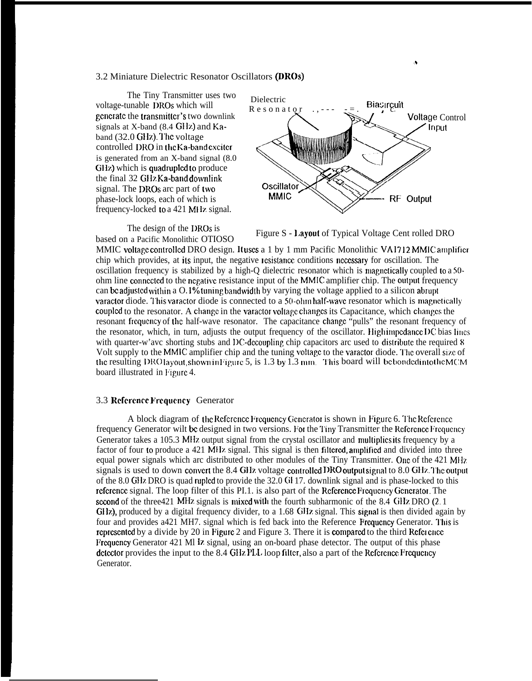### 3.2 Miniature Dielectric Resonator Oscillators (DROs)

The Tiny Transmitter uses two voltage-tunable DROs which will generate the transmitter's two downlink signals at X-band (8.4 GHz) and Kaband (32.0 GHz). The voltage controlled DRO in the Ka-band exciter is generated from an  $X$ -band signal  $(8.0)$ GHz) which is quadrupled to produce the final 32 GHz Ka-band downlink signal. The DROs arc part of two phase-lock loops, each of which is frequency-locked to a 421 MHz signal.

The design of the DROs is based on a Pacific Monolithic OTIOSO



Figure S - Layout of Typical Voltage Cent rolled DRO

MMIC voltage controlled DRO design. It uses a 1 by 1 mm Pacific Monolithic VA1712 MMIC amplifier chip which provides, at its input, the negative resistance conditions necessary for oscillation. The oscillation frequency is stabilized by a high-Q dielectric resonator which is magnetically coupled to a 50ohm line connected to the negative resistance input of the MMIC amplifier chip. The output frequency can be adjusted within a O.1% tuning bandwidth by varying the voltage applied to a silicon abrupt varactor diode. This varactor diode is connected to a 50-ohm half-wave resonator which is magnetically coupled to the resonator. A change in the variator voltage changes its Capacitance, which changes the resonant frequency of the half-wave resonator. The capacitance change "pulls" the resonant frequency of the resonator, which, in turn, adjusts the output frequency of the oscillator. High impedance DC bias lines with quarter-w'ave shorting stubs and DC-decoupling chip capacitors are used to distribute the required 8 Volt supply to the MMIC amplifier chip and the tuning voltage to the variator diode. The overall size of the resulting DRO layout, shown in Figure 5, is 1.3 by  $1.3 \text{ mm}$ . This board will be bonded into the MCM board illustrated in Figure 4.

### 3.3 Reference Frequency Generator

A block diagram of the Reference Frequency Generator is shown in Figure 6. The Reference frequency Generator wilt be designed in two versions. For the Tiny Transmitter the Reference Frequency Generator takes a 105.3 MHz output signal from the crystal oscillator and multiplies its frequency by a factor of four to produce a 421 MHz signal. This signal is then filtered, amplified and divided into three equal power signals which arc distributed to other modules of the Tiny Transmitter. One of the 421 MHz signals is used to down convert the 8.4 GHz voltage controlled DRO output signal to 8.0 GHz. The output of the 8.0 GHz DRO is quad rupled to provide the 32.0 GH 17, downlink signal and is phase-locked to this reference signal. The loop filter of this PI.1. is also part of the Reference Frequency Generator. The second of the three 421 MHz signals is mixed with the fourth subharmonic of the 8.4 GHz DRO (2.1) GHz), produced by a digital frequency divider, to a 1.68 GHz signal. This signal is then divided again by four and provides a421 MH7, signal which is fed back into the Reference Frequency Generator. This is represented by a divide by 20 in Figure 2 and Figure 3. There it is compared to the third Reference Frequency Generator 421 MI Iz signal, using an on-board phase detector. The output of this phase detector provides the input to the 8.4 GHz PLL loop filter, also a part of the Reference Frequency Generator.

A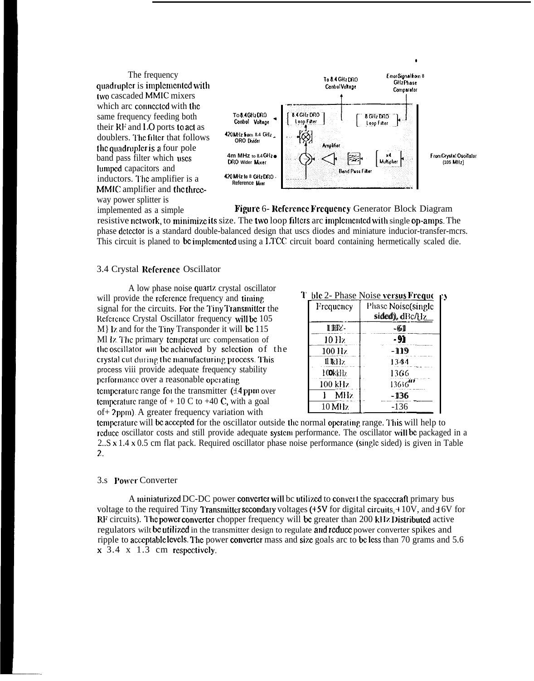

implemented as a simple Figure 6- Reference Frequency Generator Block Diagram resistive nctwork, to minimize its size. The two loop filters arc implemented with single op-amps. The phase dctcctor is a standard double-balanced design that uscs diodes and miniature inducior-transfer-mcrs. This circuit is planed to be implemented using a LTCC circuit board containing hermetically scaled die.

#### 3.4 Crystal Reference Oscillator

A low phase noise quartz crystal oscillator will provide the reference frequency and timing signal for the circuits. For the Tiny Transmitter the Reference Crystal Oscillator frequency will be 105  $M$ } Iz and for the Tiny Transponder it will be 115 Ml Iz. The primary temperat urc compensation of the oscillator will be achieved by selection of the crystal cut during the manufacturing process. This process viii provide adequate frequency stability performance over a reasonable operating temperature range for the transmitter  $(14$  ppm over temperature range of  $+10 \text{ C}$  to  $+40 \text{ C}$ , with a goal of + 2 ppm). A greater frequency variation with

# T ble 2- Phase Noise versus Freque  $\mu$

| Frequency | Phase Noise(single<br>sided), dBc/Hz |
|-----------|--------------------------------------|
| 100       | -61                                  |
| $10$ Hz   | -91                                  |
| 100 Hz    | -119                                 |
| 11 Iki lz | 13434                                |
| 100kkHz   | 1366                                 |
| 100 kHz   | 13616" '                             |
| MHz.      | - 136                                |
| 10 MHz    | $-136$                               |
| ۰         | .                                    |

temperature will be accepted for the oscillator outside the normal operating range. This will help to rcducc oscillator costs and still provide adequate systcm performance. The oscillator will bc packaged in a  $2.S \times 1.4 \times 0.5$  cm flat pack. Required oscillator phase noise performance (single sided) is given in Table 2.

### 3.s Power Converter

A miniaturized DC-DC power converter will be utilized to convert the spacecraft primary bus voltage to the required Tiny Transmitter secondary voltages (+5V for digital circuits,  $+10V$ , and  $+6V$  for  $RF$  circuits). The power converter chopper frequency will be greater than 200 kHz Distributed active regulators wilt bc utilized in the transmitter design to regulate and reduce power converter spikes and ripple to acceptable levels. The power converter mass and size goals arc to be less than 70 grams and 5.6  $x$  3.4  $x$  1.3 cm respectively.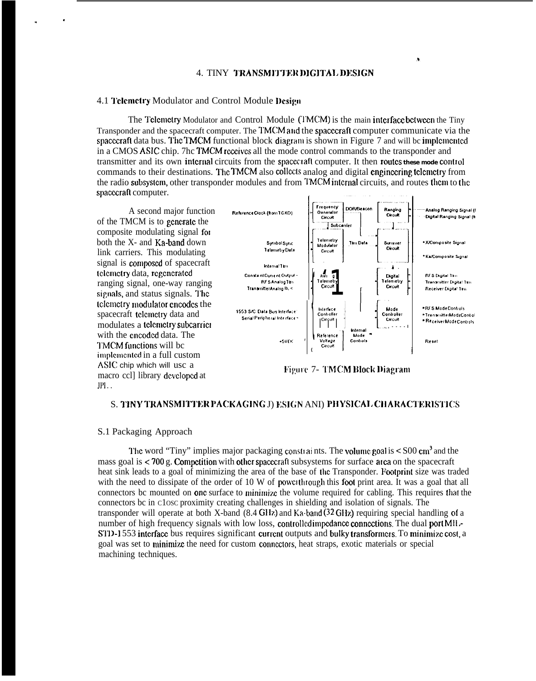#### 4. TINY TRANSMITTER DIGITAL DESIGN

#### 4.1 Telemetry Modulator and Control Module Design

The Telemetry Modulator and Control Module (TMCM) is the main interface between the Tiny Transponder and the spacecraft computer. The TMCM and the spacecraft computer communicate via the spacecraft data bus. The TMCM functional block diagram is shown in Figure 7 and will be implemented in a CMOS ASIC chip. 7hc TMCM receives all the mode control commands to the transponder and transmitter and its own internal circuits from the spaceciaft computer. It then routes these mode control commands to their destinations. The TMCM also collects analog and digital engineering telemetry from the radio subsystem, other transponder modules and from TMCM internal circuits, and routes them to the spacecraft computer.

A second major function of the TMCM is to generate the composite modulating signal for both the X- and Ka-band down link carriers. This modulating signal is composed of spacecraft telemetry data, regenerated ranging signal, one-way ranging signals, and status signals. The telemetry modulator encodes the spacecraft telemetry data and modulates a telemetry subcarrier with the encoded data. The TMCM functions will be implemented in a full custom ASIC chip which will usc a macro ccl] library developed at  $JPI...$ 



Figure 7- TMCM Block Diagram

#### S. TINY TRANSMITTER PACKAGING J) ESIGN ANI) PHYSICAL CHARACTERISTICS

### S.1 Packaging Approach

The word "Tiny" implies major packaging constraints. The volume goal is  $\leq$  S00 cm<sup>3</sup> and the mass goal is < 700 g. Competition with other spacecraft subsystems for surface area on the spacecraft heat sink leads to a goal of minimizing the area of the base of the Transponder. Footprint size was traded with the need to dissipate of the order of 10 W of power through this foot print area. It was a goal that all connectors be mounted on **one** surface to minimize the volume required for cabling. This requires that the connectors bc in close proximity creating challenges in shielding and isolation of signals. The transponder will operate at both X-band  $(8.4 \text{ GHz})$  and  $Ka$ -band  $(32 \text{ GHz})$  requiring special handling of a number of high frequency signals with low loss, controlled impedance connections. The dual port MH-STD-1553 interface bus requires significant current outputs and bulky transformers. To minimize cost, a goal was set to minimize the need for custom connectors, heat straps, exotic materials or special machining techniques.